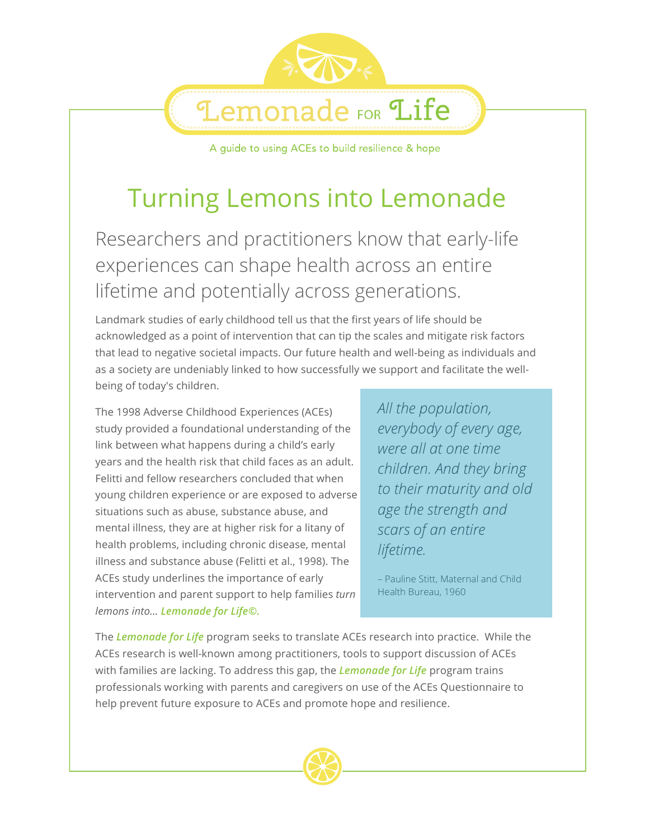A guide to using ACEs to build resilience & hope

**Lemonade FOR Life** 

# Turning Lemons into Lemonade

Researchers and practitioners know that early-life experiences can shape health across an entire lifetime and potentially across generations.

Landmark studies of early childhood tell us that the first years of life should be acknowledged as a point of intervention that can tip the scales and mitigate risk factors that lead to negative societal impacts. Our future health and well-being as individuals and as a society are undeniably linked to how successfully we support and facilitate the wellbeing of today's children.

The 1998 Adverse Childhood Experiences (ACEs) study provided a foundational understanding of the link between what happens during a child's early years and the health risk that child faces as an adult. Felitti and fellow researchers concluded that when young children experience or are exposed to adverse situations such as abuse, substance abuse, and mental illness, they are at higher risk for a litany of health problems, including chronic disease, mental illness and substance abuse (Felitti et al., 1998). The ACEs study underlines the importance of early intervention and parent support to help families *turn lemons into... Lemonade for Life©.* 

*All the population, everybody of every age, were all at one time children. And they bring to their maturity and old age the strength and scars of an entire lifetime.*

– Pauline Stitt, Maternal and Child Health Bureau, 1960

The *Lemonade for Life* program seeks to translate ACEs research into practice. While the ACEs research is well-known among practitioners, tools to support discussion of ACEs with families are lacking. To address this gap, the *Lemonade for Life* program trains professionals working with parents and caregivers on use of the ACEs Questionnaire to help prevent future exposure to ACEs and promote hope and resilience.